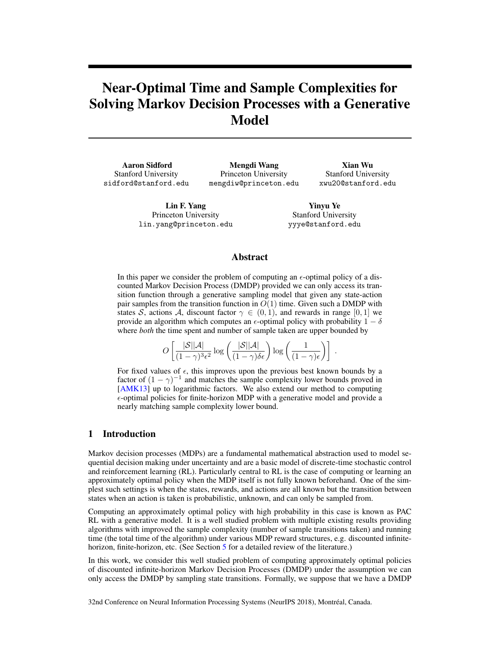# Near-Optimal Time and Sample Complexities for Solving Markov Decision Processes with a Generative Model

Aaron Sidford Stanford University sidford@stanford.edu

Mengdi Wang Princeton University mengdiw@princeton.edu

Xian Wu Stanford University xwu20@stanford.edu

Lin F. Yang Princeton University lin.yang@princeton.edu

Yinyu Ye Stanford University yyye@stanford.edu

## Abstract

In this paper we consider the problem of computing an  $\epsilon$ -optimal policy of a discounted Markov Decision Process (DMDP) provided we can only access its transition function through a generative sampling model that given any state-action pair samples from the transition function in  $O(1)$  time. Given such a DMDP with states S, actions A, discount factor  $\gamma \in (0,1)$ , and rewards in range [0, 1] we provide an algorithm which computes an  $\epsilon$ -optimal policy with probability  $1 - \delta$ where *both* the time spent and number of sample taken are upper bounded by

> $O\left[\frac{|\mathcal{S}||\mathcal{A}|}{\sqrt{1-\frac{|\mathcal{S}|^2}{\sqrt{3}}}}\right]$  $\frac{|\mathcal{S}||\mathcal{A}|}{(1-\gamma)^3\epsilon^2}\log\left(\frac{|\mathcal{S}||\mathcal{A}|}{(1-\gamma)\delta\epsilon}\right)\log\left(\frac{1}{(1-\gamma)\delta\epsilon}\right)$  $\frac{1}{(1-\gamma)\epsilon}\bigg)\bigg]$ .

For fixed values of  $\epsilon$ , this improves upon the previous best known bounds by a factor of  $(1 - \gamma)^{-1}$  and matches the sample complexity lower bounds proved in [AMK13] up to logarithmic factors. We also extend our method to computing  $\epsilon$ -optimal policies for finite-horizon MDP with a generative model and provide a nearly matching sample complexity lower bound.

# 1 Introduction

Markov decision processes (MDPs) are a fundamental mathematical abstraction used to model sequential decision making under uncertainty and are a basic model of discrete-time stochastic control and reinforcement learning (RL). Particularly central to RL is the case of computing or learning an approximately optimal policy when the MDP itself is not fully known beforehand. One of the simplest such settings is when the states, rewards, and actions are all known but the transition between states when an action is taken is probabilistic, unknown, and can only be sampled from.

Computing an approximately optimal policy with high probability in this case is known as PAC RL with a generative model. It is a well studied problem with multiple existing results providing algorithms with improved the sample complexity (number of sample transitions taken) and running time (the total time of the algorithm) under various MDP reward structures, e.g. discounted infinitehorizon, finite-horizon, etc. (See Section 5 for a detailed review of the literature.)

In this work, we consider this well studied problem of computing approximately optimal policies of discounted infinite-horizon Markov Decision Processes (DMDP) under the assumption we can only access the DMDP by sampling state transitions. Formally, we suppose that we have a DMDP

32nd Conference on Neural Information Processing Systems (NeurIPS 2018), Montreal, Canada. ´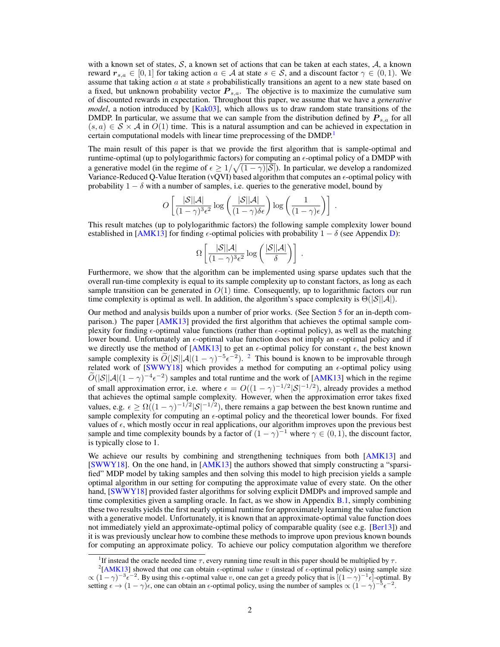with a known set of states,  $S$ , a known set of actions that can be taken at each states,  $A$ , a known reward  $r_{s,a} \in [0,1]$  for taking action  $a \in A$  at state  $s \in S$ , and a discount factor  $\gamma \in (0,1)$ . We assume that taking action  $a$  at state  $s$  probabilistically transitions an agent to a new state based on a fixed, but unknown probability vector  $P_{s,a}$ . The objective is to maximize the cumulative sum of discounted rewards in expectation. Throughout this paper, we assume that we have a *generative model*, a notion introduced by [Kak03], which allows us to draw random state transitions of the DMDP. In particular, we assume that we can sample from the distribution defined by  $P_{s,a}$  for all  $(s, a) \in S \times A$  in  $O(1)$  time. This is a natural assumption and can be achieved in expectation in certain computational models with linear time preprocessing of the DMDP.<sup>1</sup>

The main result of this paper is that we provide the first algorithm that is sample-optimal and runtime-optimal (up to polylogarithmic factors) for computing an  $\epsilon$ -optimal policy of a DMDP with a generative model (in the regime of  $\epsilon \geq 1/\sqrt{(1-\gamma)|\mathcal{S}|}$ ). In particular, we develop a randomized Variance-Reduced Q-Value Iteration (vQVI) based algorithm that computes an  $\epsilon$ -optimal policy with probability  $1 - \delta$  with a number of samples, i.e. queries to the generative model, bound by

$$
O\left[\frac{|\mathcal{S}||\mathcal{A}|}{(1-\gamma)^3\epsilon^2}\log\left(\frac{|\mathcal{S}||\mathcal{A}|}{(1-\gamma)\delta\epsilon}\right)\log\left(\frac{1}{(1-\gamma)\epsilon}\right)\right].
$$

This result matches (up to polylogarithmic factors) the following sample complexity lower bound established in [AMK13] for finding  $\epsilon$ -optimal policies with probability  $1 - \delta$  (see Appendix D):

$$
\Omega\left[\frac{|\mathcal{S}||\mathcal{A}|}{(1-\gamma)^3\epsilon^2}\log\left(\frac{|\mathcal{S}||\mathcal{A}|}{\delta}\right)\right].
$$

Furthermore, we show that the algorithm can be implemented using sparse updates such that the overall run-time complexity is equal to its sample complexity up to constant factors, as long as each sample transition can be generated in  $O(1)$  time. Consequently, up to logarithmic factors our run time complexity is optimal as well. In addition, the algorithm's space complexity is  $\Theta(|\mathcal{S}||\mathcal{A}|)$ .

Our method and analysis builds upon a number of prior works. (See Section 5 for an in-depth comparison.) The paper [AMK13] provided the first algorithm that achieves the optimal sample complexity for finding  $\epsilon$ -optimal value functions (rather than  $\epsilon$ -optimal policy), as well as the matching lower bound. Unfortunately an  $\epsilon$ -optimal value function does not imply an  $\epsilon$ -optimal policy and if we directly use the method of [AMK13] to get an  $\epsilon$ -optimal policy for constant  $\epsilon$ , the best known sample complexity is  $\tilde{O}(|\mathcal{S}||\mathcal{A}|(1-\gamma)^{-5}\epsilon^{-2})$ . <sup>2</sup> This bound is known to be improvable through related work of  $SWWY18$ ] which provides a method for computing an  $\epsilon$ -optimal policy using  $\widetilde{O}(|\mathcal{S}||\mathcal{A}|(1-\gamma)^{-4}\epsilon^{-2})$  samples and total runtime and the work of [AMK13] which in the regime of small approximation error, i.e. where  $\epsilon = O((1 - \gamma)^{-1/2} |\mathcal{S}|^{-1/2})$ , already provides a method that achieves the optimal sample complexity. However, when the approximation error takes fixed values, e.g.  $\epsilon \ge \Omega((1-\gamma)^{-1/2}|\mathcal{S}|^{-1/2})$ , there remains a gap between the best known runtime and sample complexity for computing an  $\epsilon$ -optimal policy and the theoretical lower bounds. For fixed values of  $\epsilon$ , which mostly occur in real applications, our algorithm improves upon the previous best sample and time complexity bounds by a factor of  $(1 - \gamma)^{-1}$  where  $\gamma \in (0, 1)$ , the discount factor, is typically close to 1.

We achieve our results by combining and strengthening techniques from both [AMK13] and [SWWY18]. On the one hand, in [AMK13] the authors showed that simply constructing a "sparsified" MDP model by taking samples and then solving this model to high precision yields a sample optimal algorithm in our setting for computing the approximate value of every state. On the other hand, [SWWY18] provided faster algorithms for solving explicit DMDPs and improved sample and time complexities given a sampling oracle. In fact, as we show in Appendix B.1, simply combining these two results yields the first nearly optimal runtime for approximately learning the value function with a generative model. Unfortunately, it is known that an approximate-optimal value function does not immediately yield an approximate-optimal policy of comparable quality (see e.g. [Ber13]) and it is was previously unclear how to combine these methods to improve upon previous known bounds for computing an approximate policy. To achieve our policy computation algorithm we therefore

<sup>&</sup>lt;sup>1</sup>If instead the oracle needed time  $\tau$ , every running time result in this paper should be multiplied by  $\tau$ .

<sup>&</sup>lt;sup>2</sup>[AMK13] showed that one can obtain  $\epsilon$ -optimal *value* v (instead of  $\epsilon$ -optimal policy) using sample size  $\propto (1-\gamma)^{-3} \epsilon^{-2}$ . By using this  $\epsilon$ -optimal value v, one can get a greedy policy that is  $[(1-\gamma)^{-1} \epsilon]$ -optimal. By setting  $\epsilon \to (1 - \gamma)\epsilon$ , one can obtain an  $\epsilon$ -optimal policy, using the number of samples  $\propto (1 - \gamma)^{-5} \epsilon^{-2}$ .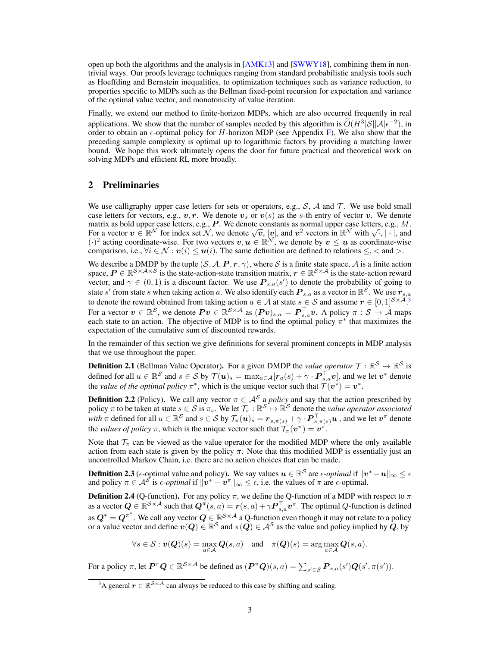open up both the algorithms and the analysis in  $[AMK13]$  and  $[SWWY18]$ , combining them in nontrivial ways. Our proofs leverage techniques ranging from standard probabilistic analysis tools such as Hoeffding and Bernstein inequalities, to optimization techniques such as variance reduction, to properties specific to MDPs such as the Bellman fixed-point recursion for expectation and variance of the optimal value vector, and monotonicity of value iteration.

Finally, we extend our method to finite-horizon MDPs, which are also occurred frequently in real applications. We show that the number of samples needed by this algorithm is  $\widetilde{O}(H^3|\mathcal{S}||\mathcal{A}|\epsilon^{-2})$ , in order to obtain an  $\epsilon$ -optimal policy for H-horizon MDP (see Appendix F). We also show that the preceding sample complexity is optimal up to logarithmic factors by providing a matching lower bound. We hope this work ultimately opens the door for future practical and theoretical work on solving MDPs and efficient RL more broadly.

## 2 Preliminaries

We use calligraphy upper case letters for sets or operators, e.g.,  $S$ ,  $A$  and  $T$ . We use bold small case letters for vectors, e.g.,  $v, r$ . We denote  $v_s$  or  $v(s)$  as the s-th entry of vector v. We denote matrix as bold upper case letters, e.g.,  $P$ . We denote constants as normal upper case letters, e.g.,  $M$ . matrix as bold upper case letters, e.g., P. we denote constants as normal upper case letters, e.g., M.<br>For a vector  $v \in \mathbb{R}^N$  for index set N, we denote  $\sqrt{v}$ , |v|, and  $v^2$  vectors in  $\mathbb{R}^N$  with  $\sqrt{1}$ , | ·  $(\cdot)^2$  acting coordinate-wise. For two vectors  $v, u \in \mathbb{R}^N$ , we denote by  $v \leq u$  as coordinate-wise comparison, i.e.,  $\forall i \in \mathcal{N} : v(i) \leq u(i)$ . The same definition are defined to relations  $\leq$ ,  $\lt$  and  $gt$ .

We describe a DMDP by the tuple  $(S, \mathcal{A}, P, r, \gamma)$ , where S is a finite state space, A is a finite action space,  $P \in \mathbb{R}^{S \times A \times S}$  is the state-action-state transition matrix,  $r \in \mathbb{R}^{S \times A}$  is the state-action reward vector, and  $\gamma \in (0,1)$  is a discount factor. We use  $\mathbf{P}_{s,a}(s')$  to denote the probability of going to state s' from state s when taking action a. We also identify each  $P_{s,a}$  as a vector in  $\mathbb{R}^S$ . We use  $r_{s,a}$ to denote the reward obtained from taking action  $a \in A$  at state  $s \in S$  and assume  $r \in [0,1]^{S \times A}$ .<sup>3</sup> For a vector  $v \in \mathbb{R}^S$ , we denote  $Pv \in \mathbb{R}^{S \times A}$  as  $(Pv)_{s,a} = P_{s,a}^\top v$ . A policy  $\pi : S \to A$  maps each state to an action. The objective of MDP is to find the optimal policy  $\pi^*$  that maximizes the expectation of the cumulative sum of discounted rewards.

In the remainder of this section we give definitions for several prominent concepts in MDP analysis that we use throughout the paper.

**Definition 2.1** (Bellman Value Operator). For a given DMDP the *value operator*  $\mathcal{T}: \mathbb{R}^S \mapsto \mathbb{R}^S$  is defined for all  $u \in \mathbb{R}^{\mathcal{S}}$  and  $s \in \mathcal{S}$  by  $\mathcal{T}(\boldsymbol{u})_s = \max_{a \in \mathcal{A}} [\boldsymbol{r}_a(s) + \gamma \cdot \boldsymbol{P}_{s,a}^\top \boldsymbol{v}]$ , and we let  $\boldsymbol{v}^*$  denote the *value of the optimal policy*  $\pi^*$ , which is the unique vector such that  $\mathcal{T}(v^*) = v^*$ .

**Definition 2.2** (Policy). We call any vector  $\pi \in A^S$  a *policy* and say that the action prescribed by policy  $\pi$  to be taken at state  $s \in S$  is  $\pi_s$ . We let  $\mathcal{T}_{\pi}: \mathbb{R}^S \mapsto \mathbb{R}^S$  denote the *value operator associated with*  $\pi$  defined for all  $u \in \mathbb{R}^\mathcal{S}$  and  $s \in \mathcal{S}$  by  $\mathcal{T}_\pi(\bm{u})_s = \bm{r}_{s,\pi(s)} + \gamma \cdot \bm{P}_{s,\pi(s)}^\top \bm{u}$  , and we let  $\bm{v}^\pi$  denote the *values of policy*  $\pi$ , which is the unique vector such that  $\mathcal{T}_{\pi}(v^{\pi}) = v^{\pi}$ .

Note that  $\mathcal{T}_{\pi}$  can be viewed as the value operator for the modified MDP where the only available action from each state is given by the policy  $\pi$ . Note that this modified MDP is essentially just an uncontrolled Markov Chain, i.e. there are no action choices that can be made.

**Definition 2.3** ( $\epsilon$ -optimal value and policy). We say values  $u \in \mathbb{R}^{\mathcal{S}}$  are  $\epsilon$ -*optimal* if  $\|v^* - u\|_{\infty} \leq \epsilon$ and policy  $\pi \in \mathcal{A}^{\mathcal{S}}$  is  $\epsilon$ -*optimal* if  $\|\hat{\bm{v}}^* - \hat{\bm{v}}^{\pi}\|_{\infty} \leq \epsilon$ , i.e. the values of  $\pi$  are  $\epsilon$ -optimal.

**Definition 2.4** (Q-function). For any policy  $\pi$ , we define the Q-function of a MDP with respect to  $\pi$ as a vector  $\bm{Q}\in\mathbb{R}^{\mathcal{S}\times\mathcal{A}}$  such that  $\bm{Q}^\pi(s,a)=\bm{r}(s,a)+\gamma \bm{P}_{s,a}^\top\bm{v}^\pi.$  The optimal  $Q$ -function is defined as  $Q^* = Q^{\pi^*}$  . We call any vector  $Q \in \mathbb{R}^{\mathcal{S} \times \mathcal{A}}$  a Q-function even though it may not relate to a policy or a value vector and define  $v(Q) \in \mathbb{R}^S$  and  $\pi(Q) \in A^S$  as the value and policy implied by  $Q$ , by

$$
\forall s \in \mathcal{S} : \boldsymbol{v}(\boldsymbol{Q})(s) = \max_{a \in \mathcal{A}} \boldsymbol{Q}(s, a) \quad \text{and} \quad \pi(\boldsymbol{Q})(s) = \arg \max_{a \in \mathcal{A}} \boldsymbol{Q}(s, a).
$$

For a policy  $\pi$ , let  $\bm{P}^{\pi}\bm{Q} \in \mathbb{R}^{\mathcal{S} \times \mathcal{A}}$  be defined as  $(\bm{P}^{\pi}\bm{Q})(s, a) = \sum_{s' \in \mathcal{S}} \bm{P}_{s, a}(s') \bm{Q}(s', \pi(s')).$ 

<sup>&</sup>lt;sup>3</sup>A general  $r \in \mathbb{R}^{S \times A}$  can always be reduced to this case by shifting and scaling.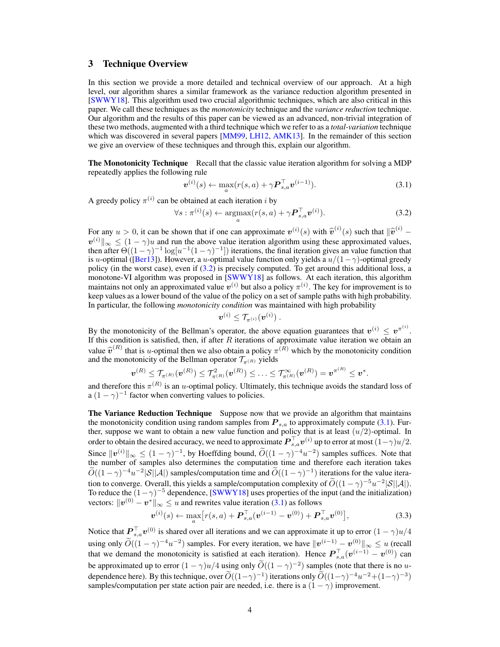## 3 Technique Overview

In this section we provide a more detailed and technical overview of our approach. At a high level, our algorithm shares a similar framework as the variance reduction algorithm presented in [SWWY18]. This algorithm used two crucial algorithmic techniques, which are also critical in this paper. We call these techniques as the *monotonicity* technique and the *variance reduction* technique. Our algorithm and the results of this paper can be viewed as an advanced, non-trivial integration of these two methods, augmented with a third technique which we refer to as a *total-variation* technique which was discovered in several papers [MM99, LH12, AMK13]. In the remainder of this section we give an overview of these techniques and through this, explain our algorithm.

**The Monotonicity Technique** Recall that the classic value iteration algorithm for solving a MDP repeatedly applies the following rule

$$
\boldsymbol{v}^{(i)}(s) \leftarrow \max_{a} (r(s, a) + \gamma \boldsymbol{P}_{s,a}^{\top} \boldsymbol{v}^{(i-1)}).
$$
 (3.1)

A greedy policy  $\pi^{(i)}$  can be obtained at each iteration i by

$$
\forall s : \pi^{(i)}(s) \leftarrow \underset{a}{\operatorname{argmax}} (r(s, a) + \gamma \boldsymbol{P}_{s,a}^{\top} \boldsymbol{v}^{(i)}).
$$
 (3.2)

For any  $u > 0$ , it can be shown that if one can approximate  $v^{(i)}(s)$  with  $\hat{v}^{(i)}(s)$  such that  $\|\hat{v}^{(i)} - v^{(i)}\|$  $v^{(i)} \|_{\infty} \leq (1 - \gamma)u$  and run the above value iteration algorithm using these approximated values, then after  $\Theta((1-\gamma)^{-1}\log[u^{-1}(1-\gamma)^{-1}])$  iterations, the final iteration gives an value function that is u-optimal ([Ber13]). However, a u-optimal value function only yields a  $u/(1-\gamma)$ -optimal greedy policy (in the worst case), even if (3.2) is precisely computed. To get around this additional loss, a monotone-VI algorithm was proposed in [SWWY18] as follows. At each iteration, this algorithm maintains not only an approximated value  $v^{(i)}$  but also a policy  $\pi^{(i)}$ . The key for improvement is to keep values as a lower bound of the value of the policy on a set of sample paths with high probability. In particular, the following *monotonicity condition* was maintained with high probability

$$
\boldsymbol{v}^{(i)} \leq \mathcal{T}_{\pi^{(i)}}(\boldsymbol{v}^{(i)})~.
$$

By the monotonicity of the Bellman's operator, the above equation guarantees that  $v^{(i)} \le v^{\pi^{(i)}}$ . If this condition is satisfied, then, if after R iterations of approximate value iteration we obtain an value  $\hat{v}^{(R)}$  that is u-optimal then we also obtain a policy  $\pi^{(R)}$  which by the monotonicity condition and the monotonicity of the Bellman operator  $\mathcal{T}_{(R)}$  yields and the monotonicity of the Bellman operator  $\mathcal{T}_{\pi(R)}$  yields

$$
\boldsymbol{v}^{(R)} \leq \mathcal{T}_{\pi^{(R)}}(\boldsymbol{v}^{(R)}) \leq \mathcal{T}_{\pi^{(R)}}^2(\boldsymbol{v}^{(R)}) \leq \ldots \leq \mathcal{T}_{\pi^{(R)}}^{\infty}(\boldsymbol{v}^{(R)}) = \boldsymbol{v}^{\pi^{(R)}} \leq \boldsymbol{v}^*.
$$

and therefore this  $\pi^{(R)}$  is an *u*-optimal policy. Ultimately, this technique avoids the standard loss of a  $(1 - \gamma)^{-1}$  factor when converting values to policies.

The Variance Reduction Technique Suppose now that we provide an algorithm that maintains the monotonicity condition using random samples from  $P_{s,a}$  to approximately compute (3.1). Further, suppose we want to obtain a new value function and policy that is at least  $(u/2)$ -optimal. In order to obtain the desired accuracy, we need to approximate  $\bm{P}_{s,a}^\top \bm{v}^{(i)}$  up to error at most  $(1-\gamma)u/2.$ Since  $||v^{(i)}||_{\infty} \leq (1 - \gamma)^{-1}$ , by Hoeffding bound,  $\widetilde{O}((1 - \gamma)^{-4}u^{-2})$  samples suffices. Note that the number of samples also determines the computation time and therefore each iteration takes  $\widetilde{O}((1-\gamma)^{-4}u^{-2}|\mathcal{S}||\mathcal{A}|)$  samples/computation time and  $\widetilde{O}((1-\gamma)^{-1})$  iterations for the value iteration to converge. Overall, this yields a sample/computation complexity of  $\tilde{O}((1-\gamma)^{-5}u^{-2}|\mathcal{S}||\mathcal{A}|)$ . To reduce the  $(1 - \gamma)^{-5}$  dependence, [SWWY18] uses properties of the input (and the initialization) vectors:  $\|\boldsymbol{v}^{(0)} - \boldsymbol{v}^*\|_{\infty} \le u$  and rewrites value iteration (3.1) as follows

$$
\boldsymbol{v}^{(i)}(s) \leftarrow \max_{a} \left[ r(s, a) + \boldsymbol{P}_{s,a}^{\top}(\boldsymbol{v}^{(i-1)} - \boldsymbol{v}^{(0)}) + \boldsymbol{P}_{s,a}^{\top} \boldsymbol{v}^{(0)} \right],
$$
(3.3)

Notice that  $\bm{P}_{s,a}^{\top} \bm{v}^{(0)}$  is shared over all iterations and we can approximate it up to error  $(1-\gamma)u/4$ using only  $\widetilde{O}((1-\gamma)^{-4}u^{-2})$  samples. For every iteration, we have  $||v^{(i-1)} - v^{(0)}||_{\infty} \le u$  (recall that we demand the monotonicity is satisfied at each iteration). Hence  $\bm{P}_{s,a}^{\top}(\bm{v}^{(i-1)} - \bm{v}^{(0)})$  can be approximated up to error  $(1 - \gamma)u/4$  using only  $\widetilde{O}((1 - \gamma)^{-2})$  samples (note that there is no udependence here). By this technique, over  $\widetilde{O}((1-\gamma)^{-1})$  iterations only  $\widetilde{O}((1-\gamma)^{-4}u^{-2}+(1-\gamma)^{-3})$ samples/computation per state action pair are needed, i.e. there is a  $(1 - \gamma)$  improvement.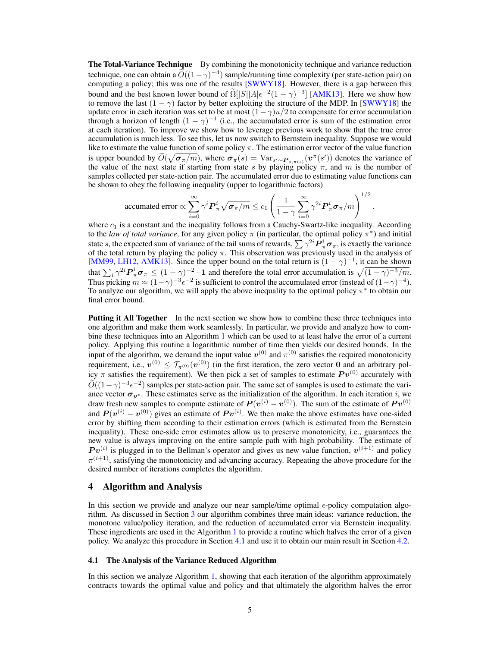**The Total-Variance Technique** By combining the monotonicity technique and variance reduction technique, one can obtain a  $\tilde{O}((1-\gamma)^{-4})$  sample/running time complexity (per state-action pair) on computing a policy; this was one of the results [SWWY18]. However, there is a gap between this bound and the best known lower bound of  $\widetilde{\Omega}[[S]|A|\epsilon^{-2}(1-\gamma)^{-3}]$  [AMK13]. Here we show how to remove the last  $(1 - \gamma)$  factor by better exploiting the structure of the MDP. In [SWWY18] the update error in each iteration was set to be at most  $(1-\gamma)u/2$  to compensate for error accumulation through a horizon of length  $(1 - \gamma)^{-1}$  (i.e., the accumulated error is sum of the estimation error at each iteration). To improve we show how to leverage previous work to show that the true error accumulation is much less. To see this, let us now switch to Bernstein inequality. Suppose we would like to estimate the value function of some policy  $\pi$ . The estimation error vector of the value function is upper bounded by  $\tilde{O}(\sqrt{\sigma_{\pi}/m})$ , where  $\sigma_{\pi}(s) = \text{Var}_{s' \sim P_{s,\pi}(s)}(v^{\pi}(s'))$  denotes the variance of the value of the next state if starting from state s by playing policy  $\pi$ , and m is the number of samples collected per state-action pair. The accumulated error due to estimating value functions can be shown to obey the following inequality (upper to logarithmic factors)

$$
\text{ accumulated error} \propto \sum_{i=0}^{\infty} \gamma^i \boldsymbol{P}_{\pi}^i \sqrt{\boldsymbol{\sigma}_{\pi}/m} \le c_1 \left( \frac{1}{1-\gamma} \sum_{i=0}^{\infty} \gamma^{2i} \boldsymbol{P}_{\pi}^i \boldsymbol{\sigma}_{\pi}/m \right)^{1/2},
$$

where  $c_1$  is a constant and the inequality follows from a Cauchy-Swartz-like inequality. According to the *law of total variance*, for any given policy  $\pi$  (in particular, the optimal policy  $\pi^*$ ) and initial state  $s$ , the expected sum of variance of the tail sums of rewards,  $\sum\gamma^{2i}\pmb{P}_\pi^i\pmb{\sigma}_\pi,$  is exactly the variance of the total return by playing the policy  $\pi$ . This observation was previously used in the analysis of [MM99, LH12, AMK13]. Since the upper bound on the total return is  $(1 - \gamma)^{-1}$ , it can be shown that  $\sum_i \gamma^{2i} P^i_{\pi} \sigma_{\pi} \le (1 - \gamma)^{-2} \cdot 1$  and therefore the total error accumulation is  $\sqrt{(1 - \gamma)^{-3}/m}$ . Thus picking  $m \approx (1-\gamma)^{-3} \epsilon^{-2}$  is sufficient to control the accumulated error (instead of  $(1-\gamma)^{-4}$ ). To analyze our algorithm, we will apply the above inequality to the optimal policy  $\pi^*$  to obtain our final error bound.

Putting it All Together In the next section we show how to combine these three techniques into one algorithm and make them work seamlessly. In particular, we provide and analyze how to combine these techniques into an Algorithm 1 which can be used to at least halve the error of a current policy. Applying this routine a logarithmic number of time then yields our desired bounds. In the input of the algorithm, we demand the input value  $v^{(0)}$  and  $\pi^{(0)}$  satisfies the required monotonicity requirement, i.e.,  $v^{(0)} \le \mathcal{T}_{\pi^{(0)}}(v^{(0)})$  (in the first iteration, the zero vector 0 and an arbitrary policy  $\pi$  satisfies the requirement). We then pick a set of samples to estimate  $P v^{(0)}$  accurately with  $\widetilde{O}((1-\gamma)^{-3}\epsilon^{-2})$  samples per state-action pair. The same set of samples is used to estimate the variance vector  $\sigma_{v^*}$ . These estimates serve as the initialization of the algorithm. In each iteration i, we draw fresh new samples to compute estimate of  $P(v^{(i)} - v^{(0)})$ . The sum of the estimate of  $Pv^{(0)}$ and  $P(v^{(i)} - v^{(0)})$  gives an estimate of  $Pv^{(i)}$ . We then make the above estimates have one-sided error by shifting them according to their estimation errors (which is estimated from the Bernstein inequality). These one-side error estimates allow us to preserve monotonicity, i.e., guarantees the new value is always improving on the entire sample path with high probability. The estimate of  $Pv^{(i)}$  is plugged in to the Bellman's operator and gives us new value function,  $v^{(i+1)}$  and policy  $\pi^{(i+1)}$ , satisfying the monotonicity and advancing accuracy. Repeating the above procedure for the desired number of iterations completes the algorithm.

### 4 Algorithm and Analysis

In this section we provide and analyze our near sample/time optimal  $\epsilon$ -policy computation algorithm. As discussed in Section 3 our algorithm combines three main ideas: variance reduction, the monotone value/policy iteration, and the reduction of accumulated error via Bernstein inequality. These ingredients are used in the Algorithm 1 to provide a routine which halves the error of a given policy. We analyze this procedure in Section 4.1 and use it to obtain our main result in Section 4.2.

#### 4.1 The Analysis of the Variance Reduced Algorithm

In this section we analyze Algorithm 1, showing that each iteration of the algorithm approximately contracts towards the optimal value and policy and that ultimately the algorithm halves the error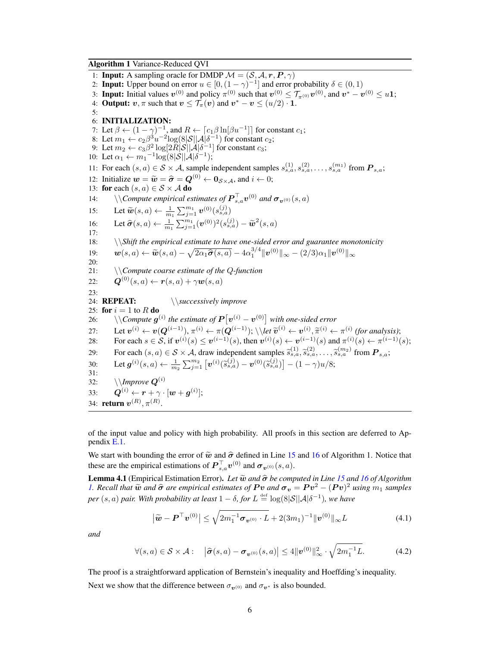Algorithm 1 Variance-Reduced QVI

1: **Input:** A sampling oracle for DMDP  $M = (S, A, r, P, \gamma)$ 2: Input: Upper bound on error  $u \in [0, (1 - \gamma)^{-1}]$  and error probability  $\delta \in (0, 1)$ 3: **Input:** Initial values  $v^{(0)}$  and policy  $\pi^{(0)}$  such that  $v^{(0)} \le \mathcal{T}_{\pi^{(0)}} v^{(0)}$ , and  $v^* - v^{(0)} \le u$ 1; 4: **Output:**  $v, \pi$  such that  $v \leq \overline{\mathcal{T}}_{\pi}(v)$  and  $v^* - v \leq (u/2) \cdot 1$ . 5: 6: INITIALIZATION: 7: Let  $\beta \leftarrow (1 - \gamma)^{-1}$ , and  $R \leftarrow \lceil c_1 \beta \ln[\beta u^{-1}] \rceil$  for constant  $c_1$ ; 8: Let  $m_1 \leftarrow c_2 \beta^3 u^{-2} \log(8|\mathcal{S}| |\mathcal{A}| \delta^{-1})$  for constant  $c_2$ ; 9: Let  $m_2 \leftarrow c_3 \beta^2 \log[2\tilde{R}|\mathcal{S}||\mathcal{A}|\delta^{-1}]$  for constant  $c_3$ ; 10: Let  $\alpha_1 \leftarrow m_1^{-1} \log(8|\mathcal{S}| |\mathcal{A}|\delta^{-1});$ 11: For each  $(s, a) \in S \times A$ , sample independent samples  $s_{s,a}^{(1)}, s_{s,a}^{(2)}, \ldots, s_{s,a}^{(m_1)}$  from  $\mathbf{P}_{s,a}$ ; 12: Initialize  $w = \widetilde{w} = \widehat{\sigma} = Q^{(0)} \leftarrow 0_{S \times A}$ , and  $i \leftarrow 0$ ;<br>13: for each  $(s, a) \in S \times A$  do 13: for each  $(s, a) \in S \times A$  do 14:  $\setminus \backslash$ *Compute empirical estimates of*  $\mathbf{P}_{s,a}^{\top} \mathbf{v}^{(0)}$  *and*  $\boldsymbol{\sigma}_{\mathbf{v}^{(0)}}(s,a)$ 15: Let  $\widetilde{\bm{w}}(s, a) \leftarrow \frac{1}{m_1} \sum_{j=1}^{m_1} \bm{v}^{(0)}(s_{s, a}^{(j)})$ 16: Let  $\widehat{\sigma}(s, a) \leftarrow \frac{1}{m_1} \sum_{j=1}^{m_1} (\boldsymbol{v}^{(0)})^2 (s_{s,a}^{(j)}) - \widetilde{\boldsymbol{w}}^2 (s, a)$ 17: 18: \\*Shift the empirical estimate to have one-sided error and guarantee monotonicity*  $\bm{w}(s, a) \leftarrow \widetilde{\bm{w}}(s, a) - \sqrt{2\alpha_1 \widehat{\bm{\sigma}}(s, a)} - 4\alpha_1^{3/4} \|\bm{v}^{(0)}\|_{\infty} - (2/3)\alpha_1 \|\bm{v}^{(0)}\|_{\infty}$ 20: 21: \\*Compute coarse estimate of the* Q*-function*  $22:$  $\mathbf{Q}^{(0)}(s, a) \leftarrow \mathbf{r}(s, a) + \gamma \mathbf{w}(s, a)$ 23: 24: REPEAT: \\*successively improve* 25: for  $i = 1$  to R do 26:  $\setminus\backslash Compute\ g^{(i)}$  the estimate of  $\bm{P}\big[\bm{v}^{(i)} - \bm{v}^{(0)}\big]$  with one-sided error 27: Let  $v^{(i)} \leftarrow v(Q^{(i-1)}), \pi^{(i)} \leftarrow \pi(Q^{(i-1)}); \setminus \let \widetilde{v}^{(i)} \leftarrow v^{(i)}, \widetilde{\pi}^{(i)} \leftarrow \pi^{(i)}$  (for analysis);<br>22. For each  $e \in S$  if  $v^{(i)}(e) \leq v^{(i-1)}(e)$  then  $v^{(i)}(e) \leq v^{(i-1)}(e)$  and  $\pi^{(i)}(e) \leq \pi^{(i-1)}(e)$ 28: For each  $s \in S$ , if  $v^{(i)}(s) \le v^{(i-1)}(s)$ , then  $v^{(i)}(s) \leftarrow v^{(i-1)}(s)$  and  $\pi^{(i)}(s) \leftarrow \pi^{(i-1)}(s)$ ; 29: For each  $(s, a) \in S \times A$ , draw independent samples  $\tilde{s}_{s,a}^{(1)}, \tilde{s}_{s,a}^{(2)}, \ldots, \tilde{s}_{s,a}^{(m_2)}$  from  $P_{s,a}$ ; 30: Let  $\boldsymbol{g}^{(i)}(s,a) \leftarrow \frac{1}{m_2} \sum_{j=1}^{m_2} \left[ \boldsymbol{v}^{(i)}(\widetilde{s}_{s,a}^{(j)}) - \boldsymbol{v}^{(0)}(\widetilde{s}_{s,a}^{(j)}) \right] - (1 - \gamma) u/8;$ 31: 32:  $\setminus$ *Improve*  $Q^{(i)}$ 33:  $\boldsymbol{Q}^{(i)} \leftarrow \boldsymbol{r} + \gamma \cdot [\boldsymbol{w} + \boldsymbol{g}^{(i)}];$ 34: **return**  $v^{(R)}, \pi^{(R)}$ .

of the input value and policy with high probability. All proofs in this section are deferred to Appendix E.1.

We start with bounding the error of  $\tilde{w}$  and  $\hat{\sigma}$  defined in Line 15 and 16 of Algorithm 1. Notice that these are the empirical estimations of  $\boldsymbol{P}_{s,a}^{\top} \boldsymbol{v}^{(0)}$  and  $\boldsymbol{\sigma}_{\boldsymbol{v}^{(0)}}(s,a)$ .

Lemma 4.1 (Empirical Estimation Error). *Let* <sup>w</sup><sup>e</sup> *and* <sup>σ</sup><sup>b</sup> *be computed in Line 15 and 16 of Algorithm 1. Recall that*  $\widetilde{\mathbf{w}}$  *and*  $\widehat{\sigma}$  *are empirical estimates of*  $P \mathbf{v}$  *and*  $\sigma_{\mathbf{v}} = P \mathbf{v}^2 - (P \mathbf{v})^2$  *using*  $m_1$  *samples*  $per\ (s,a)$  pair. With probability at least  $1-\delta$ , for  $L\stackrel{\text{\tiny def}}{=} \log(8|\mathcal{S}||\mathcal{A}|\delta^{-1}),$  we have

$$
\left|\tilde{\mathbf{w}} - \mathbf{P}^{\top}\mathbf{v}^{(0)}\right| \leq \sqrt{2m_1^{-1}\sigma_{\mathbf{v}^{(0)}} \cdot L} + 2(3m_1)^{-1} \|\mathbf{v}^{(0)}\|_{\infty} L \tag{4.1}
$$

*and*

$$
\forall (s,a) \in \mathcal{S} \times \mathcal{A}: \quad \left|\hat{\sigma}(s,a) - \sigma_{\boldsymbol{v}^{(0)}}(s,a)\right| \le 4 \|\boldsymbol{v}^{(0)}\|_{\infty}^2 \cdot \sqrt{2m_1^{-1}L}.\tag{4.2}
$$

The proof is a straightforward application of Bernstein's inequality and Hoeffding's inequality. Next we show that the difference between  $\sigma_{v(0)}$  and  $\sigma_{v*}$  is also bounded.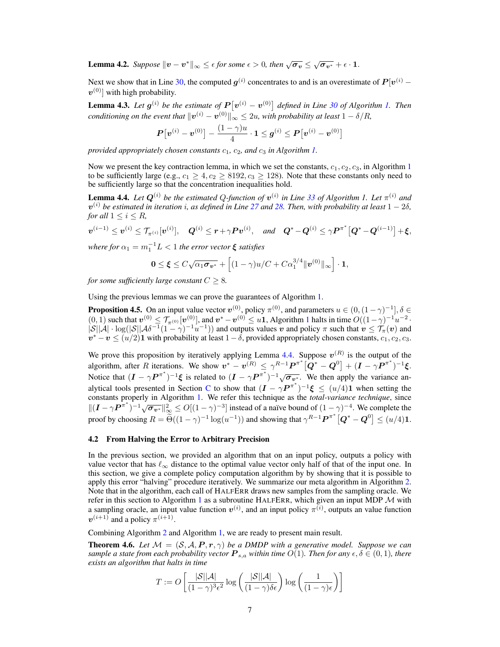**Lemma 4.2.** Suppose  $||v - v^*||_{\infty} \le \epsilon$  for some  $\epsilon > 0$ , then  $\sqrt{\sigma_v} \le \sqrt{\sigma_{v^*}} + \epsilon \cdot 1$ .

Next we show that in Line 30, the computed  $g^{(i)}$  concentrates to and is an overestimate of  $P[v^{(i)}]$  $\bm{v}^{(0)}]$  with high probability.

**Lemma 4.3.** Let  $g^{(i)}$  be the estimate of  $P[v^{(i)} - v^{(0)}]$  defined in Line 30 of Algorithm 1. Then  $conditioning$  on the event that  $\|\bm{v}^{(i)}-\bm{v}^{(0)}\|_\infty \leq 2u$ , with probability at least  $1-\delta/R$ ,

$$
\boldsymbol{P}\big[\boldsymbol{v}^{(i)} - \boldsymbol{v}^{(0)}\big] - \frac{(1-\gamma)u}{4} \cdot \boldsymbol{1} \leq \boldsymbol{g}^{(i)} \leq \boldsymbol{P}\big[\boldsymbol{v}^{(i)} - \boldsymbol{v}^{(0)}\big]
$$

*provided appropriately chosen constants*  $c_1$ ,  $c_2$ , and  $c_3$  *in Algorithm 1.* 

Now we present the key contraction lemma, in which we set the constants,  $c_1, c_2, c_3$ , in Algorithm 1 to be sufficiently large (e.g.,  $c_1 \geq 4$ ,  $c_2 \geq 8192$ ,  $c_3 \geq 128$ ). Note that these constants only need to be sufficiently large so that the concentration inequalities hold.

**Lemma 4.4.** Let  $Q^{(i)}$  be the estimated Q-function of  $v^{(i)}$  in Line 33 of Algorithm 1. Let  $\pi^{(i)}$  and v (i) *be estimated in iteration* i*, as defined in Line 27 and 28. Then, with probability at least* 1 − 2δ*, for all*  $1 \leq i \leq R$ *,* 

 $\bm{v}^{(i-1)} \leq \bm{v}^{(i)} \leq \mathcal{T}_{\pi^{(i)}}[\bm{v}^{(i)}], \quad \bm{Q}^{(i)} \leq \bm{r} + \gamma \bm{P} \bm{v}^{(i)}, \quad \text{and} \quad \bm{Q}^* - \bm{Q}^{(i)} \leq \gamma \bm{P}^{\pi^*} \big[ \bm{Q}^* - \bm{Q}^{(i-1)} \big] + \bm{\xi},$ 

where for  $\alpha_1 = m_1^{-1} L < 1$  the error vector  $\boldsymbol{\xi}$  satisfies

$$
\mathbf{0} \leq \boldsymbol{\xi} \leq C\sqrt{\alpha_1 \sigma_{\boldsymbol{v}^*}} + \left[ (1 - \gamma)u/C + C\alpha_1^{3/4} ||\boldsymbol{v}^{(0)}||_{\infty} \right] \cdot \mathbf{1},
$$

*for some sufficiently large constant*  $C > 8$ *.* 

Using the previous lemmas we can prove the guarantees of Algorithm 1.

**Proposition 4.5.** On an input value vector  $v^{(0)}$ , policy  $\pi^{(0)}$ , and parameters  $u \in (0, (1 - \gamma)^{-1}]$ ,  $\delta \in$  $(0, 1)$  such that  $v^{(0)} \n\t\leq \mathcal{T}_{\pi^{(0)}}[v^{(0)}]$ , and  $v^* - v^{(0)} \leq u$  Algorithm 1 halts in time  $O((1-\gamma)^{-1}u^{-2})$ .  $|S||A|\cdot \log(|S||A\delta^{-1}(1-\gamma)^{-1}u^{-1})$  and outputs values v and policy  $\pi$  such that  $v \leq \mathcal{T}_{\pi}(v)$  and  $v^* - v \le (u/2)$ 1 with probability at least  $1-\delta$ , provided appropriately chosen constants,  $c_1, c_2, c_3$ .

We prove this proposition by iteratively applying Lemma 4.4. Suppose  $v^{(R)}$  is the output of the algorithm, after R iterations. We show  $v^* - v^{(R)} \le \gamma^{R-1} P^{\pi^*} [\hat{Q}^* - Q^0] + (I - \gamma P^{\pi^*})^{-1} \xi$ . Notice that  $(I - \gamma P^{\pi^*})^{-1} \xi$  is related to  $(I - \gamma P^{\pi^*})^{-1} \sqrt{\sigma_{v^*}}$ . We then apply the variance analytical tools presented in Section C to show that  $(I - \gamma P^{\pi^*})^{-1} \xi \leq (u/4)1$  when setting the constants properly in Algorithm 1. We refer this technique as the *total-variance technique*, since  $\|(I - \gamma P^{\pi^*})^{-1} \sqrt{\sigma_{v^*}}\|_{\infty}^2 \le O[(1 - \gamma)^{-3}]$  instead of a naïve bound of  $(1 - \gamma)^{-4}$ . We complete the proof by choosing  $R = \widetilde{\Theta}((1 - \gamma)^{-1} \log(u^{-1}))$  and showing that  $\gamma^{R-1} \mathbf{P}^{\pi^*} [\mathbf{Q}^* - \mathbf{Q}^0] \leq (u/4) \mathbf{1}$ .

#### 4.2 From Halving the Error to Arbitrary Precision

In the previous section, we provided an algorithm that on an input policy, outputs a policy with value vector that has  $\ell_{\infty}$  distance to the optimal value vector only half of that of the input one. In this section, we give a complete policy computation algorithm by by showing that it is possible to apply this error "halving" procedure iteratively. We summarize our meta algorithm in Algorithm 2. Note that in the algorithm, each call of HALFERR draws new samples from the sampling oracle. We refer in this section to Algorithm 1 as a subroutine HALFERR, which given an input MDP  $\mathcal M$  with a sampling oracle, an input value function  $v^{(i)}$ , and an input policy  $\pi^{(i)}$ , outputs an value function  $v^{(i+1)}$  and a policy  $\pi^{(i+1)}$ .

Combining Algorithm 2 and Algorithm 1, we are ready to present main result.

**Theorem 4.6.** Let  $\mathcal{M} = (\mathcal{S}, \mathcal{A}, P, r, \gamma)$  be a DMDP with a generative model. Suppose we can *sample a state from each probability vector*  $P_{s,a}$  *within time*  $O(1)$ *. Then for any*  $\epsilon, \delta \in (0,1)$ *, there exists an algorithm that halts in time*

$$
T := O\left[\frac{|\mathcal{S}||\mathcal{A}|}{(1-\gamma)^3 \epsilon^2} \log \left(\frac{|\mathcal{S}||\mathcal{A}|}{(1-\gamma)\delta \epsilon}\right) \log \left(\frac{1}{(1-\gamma)\epsilon}\right)\right]
$$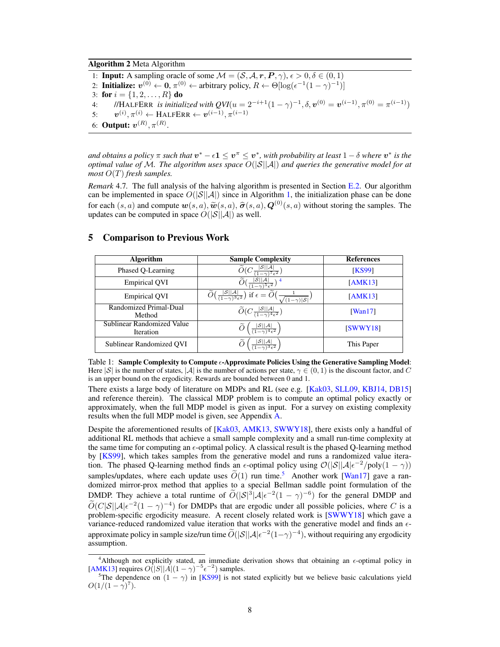Algorithm 2 Meta Algorithm

1: **Input:** A sampling oracle of some  $\mathcal{M} = (\mathcal{S}, \mathcal{A}, \mathbf{r}, \mathbf{P}, \gamma), \epsilon > 0, \delta \in (0, 1)$ 2: Initialize:  $v^{(0)} \leftarrow 0$ ,  $\pi^{(0)} \leftarrow$  arbitrary policy,  $R \leftarrow \Theta[\log(\epsilon^{-1}(1-\gamma)^{-1})]$ 3: for  $i = \{1, 2, ..., R\}$  do 4: //HALFERR *is initialized with*  $QVI(u = 2^{-i+1}(1 - \gamma)^{-1}, \delta, v^{(0)} = v^{(i-1)}, \pi^{(0)} = \pi^{(i-1)})$  $5:$  $\mathcal{O}^{(i)}, \pi^{(i)} \leftarrow \text{HALFERR} \leftarrow \bm{v}^{(i-1)}, \pi^{(i-1)}$ 6: **Output:**  $v^{(R)}$ ,  $\pi^{(R)}$ .

and obtains a policy  $\pi$  such that  $\bm{v}^* - \epsilon \bm{1} \leq \bm{v}^\pi \leq \bm{v}^*$ , with probability at least  $1-\delta$  where  $\bm{v}^*$  is the *optimal value of* M*. The algorithm uses space* O(|S||A|) *and queries the generative model for at most* O(T) *fresh samples.*

*Remark* 4.7*.* The full analysis of the halving algorithm is presented in Section E.2. Our algorithm can be implemented in space  $O(|\mathcal{S}||\mathcal{A}|)$  since in Algorithm 1, the initialization phase can be done for each  $(s, a)$  and compute  $w(s, a), \widetilde{w}(s, a), \widehat{\sigma}(s, a), Q^{(0)}(s, a)$  without storing the samples. The undates can be computed in space  $O(|S||A|)$  as well updates can be computed in space  $O(|\mathcal{S}||\mathcal{A}|)$  as well.

## 5 Comparison to Previous Work

| <b>Algorithm</b>                        | <b>Sample Complexity</b>                                                                                                                                                            | <b>References</b> |
|-----------------------------------------|-------------------------------------------------------------------------------------------------------------------------------------------------------------------------------------|-------------------|
| Phased Q-Learning                       | $\widetilde{O}(C\frac{ \mathcal{S}  \mathcal{A} }{(1-\gamma)^7\epsilon^2})$                                                                                                         | <b>KS99</b>       |
| <b>Empirical QVI</b>                    | $\widetilde{O}(\frac{ \mathcal{S}  \mathcal{A} }{(1-\gamma)\delta\epsilon^2})^4$                                                                                                    | [AMK13]           |
| <b>Empirical QVI</b>                    | $\overline{\widetilde{O}\left(\frac{ \mathcal{S}  \mathcal{A} }{(1-\gamma)^3\epsilon^2}\right)}$ if $\epsilon = \widetilde{O}\left(\frac{1}{\sqrt{(1-\gamma) \mathcal{S} }}\right)$ | [AMK13]           |
| Randomized Primal-Dual<br>Method        | $\widetilde{O}(C\frac{ \mathcal{S}  \mathcal{A} }{(1-\gamma)^4\epsilon^2})$                                                                                                         | [Wan17]           |
| Sublinear Randomized Value<br>Iteration | $\widetilde{O}\left(\frac{ \mathcal{S}  \mathcal{A} }{(1-\gamma)^4\epsilon^2}\right)$                                                                                               | SWWY18            |
| Sublinear Randomized OVI                | $\widetilde{O}\left(\frac{ \mathcal{S}  \mathcal{A} }{(1-\gamma)^3\epsilon^2}\right)$                                                                                               | This Paper        |

Table 1: Sample Complexity to Compute  $\epsilon$ -Approximate Policies Using the Generative Sampling Model: Here  $|S|$  is the number of states,  $|A|$  is the number of actions per state,  $\gamma \in (0,1)$  is the discount factor, and C is an upper bound on the ergodicity. Rewards are bounded between 0 and 1.

There exists a large body of literature on MDPs and RL (see e.g. [Kak03, SLL09, KBJ14, DB15] and reference therein). The classical MDP problem is to compute an optimal policy exactly or approximately, when the full MDP model is given as input. For a survey on existing complexity results when the full MDP model is given, see Appendix A.

Despite the aforementioned results of [Kak03, AMK13, SWWY18], there exists only a handful of additional RL methods that achieve a small sample complexity and a small run-time complexity at the same time for computing an  $\epsilon$ -optimal policy. A classical result is the phased Q-learning method by [KS99], which takes samples from the generative model and runs a randomized value iteration. The phased Q-learning method finds an  $\epsilon$ -optimal policy using  $\mathcal{O}(|\mathcal{S}||\mathcal{A}|\epsilon^{-2}/poly(1-\gamma))$ samples/updates, where each update uses  $\widetilde{O}(1)$  run time.<sup>5</sup> Another work [Wan17] gave a randomized mirror-prox method that applies to a special Bellman saddle point formulation of the DMDP. They achieve a total runtime of  $\tilde{O}(|\mathcal{S}|^3|\mathcal{A}|\epsilon^{-2}(1-\gamma)^{-6})$  for the general DMDP and  $\widetilde{O}(C|\mathcal{S}||\mathcal{A}|\epsilon^{-2}(1-\gamma)^{-4})$  for DMDPs that are ergodic under all possible policies, where C is a problem-specific ergodicity measure. A recent closely related work is [SWWY18] which gave a variance-reduced randomized value iteration that works with the generative model and finds an  $\epsilon$ approximate policy in sample size/run time  $\widetilde{O}(|\mathcal{S}||\mathcal{A}|\epsilon^{-2}(1-\gamma)^{-4})$ , without requiring any ergodicity assumption.

<sup>&</sup>lt;sup>4</sup>Although not explicitly stated, an immediate derivation shows that obtaining an  $\epsilon$ -optimal policy in [AMK13] requires  $O(|S||A|(1 - \gamma)^{-5} \epsilon^{-2})$  samples.

<sup>&</sup>lt;sup>5</sup>The dependence on  $(1 - \gamma)$  in [KS99] is not stated explicitly but we believe basic calculations yield  $O(1/(1-\gamma)^7)$ .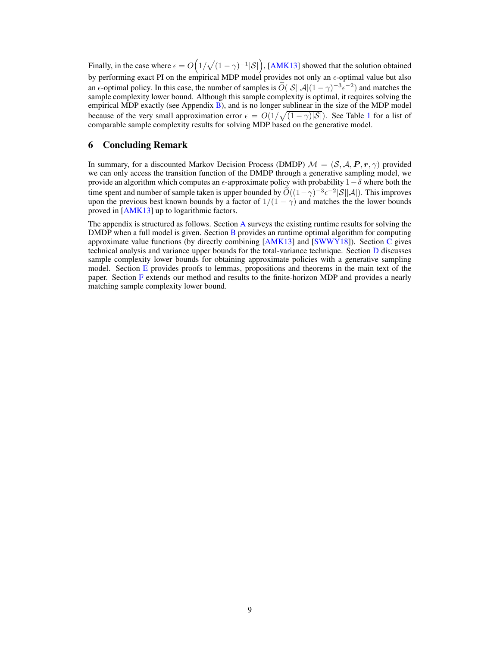Finally, in the case where  $\epsilon = O(1/\sqrt{(1-\gamma)^{-1}|\mathcal{S}|})$ , [AMK13] showed that the solution obtained by performing exact PI on the empirical MDP model provides not only an  $\epsilon$ -optimal value but also an  $\epsilon$ -optimal policy. In this case, the number of samples is  $\tilde{O}(|\mathcal{S}||\mathcal{A}|(1-\gamma)^{-3}\epsilon^{-2})$  and matches the sample complexity lower bound. Although this sample complexity is optimal, it requires solving the empirical MDP exactly (see Appendix  $B$ ), and is no longer sublinear in the size of the MDP model because of the very small approximation error  $\epsilon = O(1/\sqrt{(1-\gamma)|\mathcal{S}|})$ . See Table 1 for a list of comparable sample complexity results for solving MDP based on the generative model.

# 6 Concluding Remark

In summary, for a discounted Markov Decision Process (DMDP)  $\mathcal{M} = (\mathcal{S}, \mathcal{A}, P, r, \gamma)$  provided we can only access the transition function of the DMDP through a generative sampling model, we provide an algorithm which computes an  $\epsilon$ -approximate policy with probability  $1-\delta$  where both the time spent and number of sample taken is upper bounded by  $\widetilde{O}((1-\gamma)^{-3}\epsilon^{-2}|S||A|)$ . This improves upon the previous best known bounds by a factor of  $1/(1 - \gamma)$  and matches the the lower bounds proved in [AMK13] up to logarithmic factors.

The appendix is structured as follows. Section A surveys the existing runtime results for solving the DMDP when a full model is given. Section B provides an runtime optimal algorithm for computing approximate value functions (by directly combining [AMK13] and [SWWY18]). Section C gives technical analysis and variance upper bounds for the total-variance technique. Section D discusses sample complexity lower bounds for obtaining approximate policies with a generative sampling model. Section E provides proofs to lemmas, propositions and theorems in the main text of the paper. Section F extends our method and results to the finite-horizon MDP and provides a nearly matching sample complexity lower bound.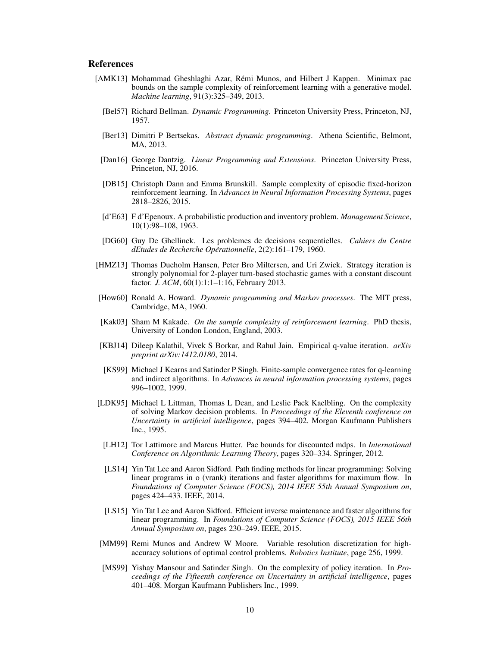## References

- [AMK13] Mohammad Gheshlaghi Azar, Remi Munos, and Hilbert J Kappen. Minimax pac ´ bounds on the sample complexity of reinforcement learning with a generative model. *Machine learning*, 91(3):325–349, 2013.
	- [Bel57] Richard Bellman. *Dynamic Programming*. Princeton University Press, Princeton, NJ, 1957.
	- [Ber13] Dimitri P Bertsekas. *Abstract dynamic programming*. Athena Scientific, Belmont, MA, 2013.
	- [Dan16] George Dantzig. *Linear Programming and Extensions*. Princeton University Press, Princeton, NJ, 2016.
	- [DB15] Christoph Dann and Emma Brunskill. Sample complexity of episodic fixed-horizon reinforcement learning. In *Advances in Neural Information Processing Systems*, pages 2818–2826, 2015.
	- [d'E63] F d'Epenoux. A probabilistic production and inventory problem. *Management Science*, 10(1):98–108, 1963.
	- [DG60] Guy De Ghellinck. Les problemes de decisions sequentielles. *Cahiers du Centre dEtudes de Recherche Operationnelle ´* , 2(2):161–179, 1960.
- [HMZ13] Thomas Dueholm Hansen, Peter Bro Miltersen, and Uri Zwick. Strategy iteration is strongly polynomial for 2-player turn-based stochastic games with a constant discount factor. *J. ACM*, 60(1):1:1–1:16, February 2013.
- [How60] Ronald A. Howard. *Dynamic programming and Markov processes*. The MIT press, Cambridge, MA, 1960.
- [Kak03] Sham M Kakade. *On the sample complexity of reinforcement learning*. PhD thesis, University of London London, England, 2003.
- [KBJ14] Dileep Kalathil, Vivek S Borkar, and Rahul Jain. Empirical q-value iteration. *arXiv preprint arXiv:1412.0180*, 2014.
- [KS99] Michael J Kearns and Satinder P Singh. Finite-sample convergence rates for q-learning and indirect algorithms. In *Advances in neural information processing systems*, pages 996–1002, 1999.
- [LDK95] Michael L Littman, Thomas L Dean, and Leslie Pack Kaelbling. On the complexity of solving Markov decision problems. In *Proceedings of the Eleventh conference on Uncertainty in artificial intelligence*, pages 394–402. Morgan Kaufmann Publishers Inc., 1995.
	- [LH12] Tor Lattimore and Marcus Hutter. Pac bounds for discounted mdps. In *International Conference on Algorithmic Learning Theory*, pages 320–334. Springer, 2012.
	- [LS14] Yin Tat Lee and Aaron Sidford. Path finding methods for linear programming: Solving linear programs in o (vrank) iterations and faster algorithms for maximum flow. In *Foundations of Computer Science (FOCS), 2014 IEEE 55th Annual Symposium on*, pages 424–433. IEEE, 2014.
	- [LS15] Yin Tat Lee and Aaron Sidford. Efficient inverse maintenance and faster algorithms for linear programming. In *Foundations of Computer Science (FOCS), 2015 IEEE 56th Annual Symposium on*, pages 230–249. IEEE, 2015.
- [MM99] Remi Munos and Andrew W Moore. Variable resolution discretization for highaccuracy solutions of optimal control problems. *Robotics Institute*, page 256, 1999.
- [MS99] Yishay Mansour and Satinder Singh. On the complexity of policy iteration. In *Proceedings of the Fifteenth conference on Uncertainty in artificial intelligence*, pages 401–408. Morgan Kaufmann Publishers Inc., 1999.